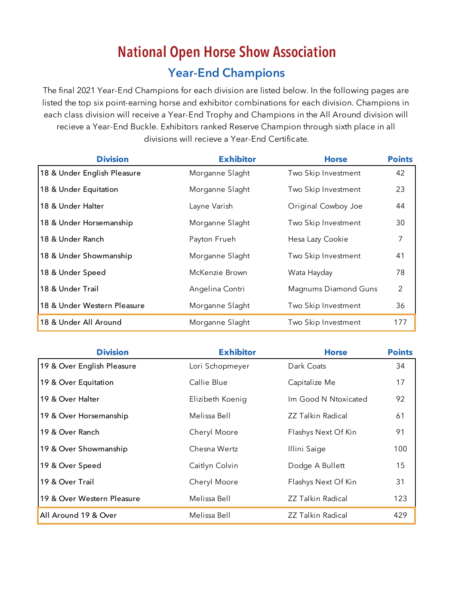# **National Open Horse Show Association Year-End Champions**

The final 2021 Year-End Champions for each division are listed below. In the following pages are listed the top six point-earning horse and exhibitor combinations for each division. Champions in each class division will receive a Year-End Trophy and Champions in the All Around division will recieve a Year-End Buckle. Exhibitors ranked Reserve Champion through sixth place in all divisions will recieve a Year-End Certificate.

| <b>Division</b>             | <b>Exhibitor</b> | <b>Horse</b>         | <b>Points</b>  |
|-----------------------------|------------------|----------------------|----------------|
| 18 & Under English Pleasure | Morganne Slaght  | Two Skip Investment  | 42             |
| 18 & Under Equitation       | Morganne Slaght  | Two Skip Investment  | 23             |
| 18 & Under Halter           | Layne Varish     | Original Cowboy Joe  | 44             |
| 18 & Under Horsemanship     | Morganne Slaght  | Two Skip Investment  | 30             |
| 18 & Under Ranch            | Payton Frueh     | Hesa Lazy Cookie     | 7              |
| 18 & Under Showmanship      | Morganne Slaght  | Two Skip Investment  | 41             |
| 18 & Under Speed            | McKenzie Brown   | Wata Hayday          | 78             |
| 18 & Under Trail            | Angelina Contri  | Magnums Diamond Guns | $\overline{2}$ |
| 18 & Under Western Pleasure | Morganne Slaght  | Two Skip Investment  | 36             |
| 18 & Under All Around       | Morganne Slaght  | Two Skip Investment  | 177            |

| <b>Division</b>            | <b>Exhibitor</b> | <b>Horse</b>             | <b>Points</b> |
|----------------------------|------------------|--------------------------|---------------|
| 19 & Over English Pleasure | Lori Schopmeyer  | Dark Coats               | 34            |
| 19 & Over Equitation       | Callie Blue      | Capitalize Me            | 17            |
| 19 & Over Halter           | Elizibeth Koenig | Im Good N Ntoxicated     | 92            |
| 19 & Over Horsemanship     | Melissa Bell     | <b>ZZ Talkin Radical</b> | 61            |
| 19 & Over Ranch            | Cheryl Moore     | Flashys Next Of Kin      | 91            |
| 19 & Over Showmanship      | Chesna Wertz     | Illini Saige             | 100           |
| 19 & Over Speed            | Caitlyn Colvin   | Dodge A Bullett          | 15            |
| 19 & Over Trail            | Cheryl Moore     | Flashys Next Of Kin      | 31            |
| 19 & Over Western Pleasure | Melissa Bell     | <b>ZZ Talkin Radical</b> | 123           |
| All Around 19 & Over       | Melissa Bell     | <b>ZZ Talkin Radical</b> | 429           |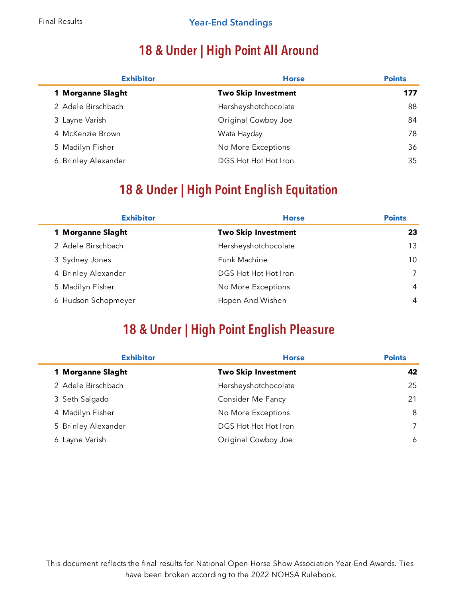# **18 & Under | High Point All Around**

| <b>Exhibitor</b>    | <b>Horse</b>               | <b>Points</b> |
|---------------------|----------------------------|---------------|
| 1 Morganne Slaght   | <b>Two Skip Investment</b> | 177           |
| 2 Adele Birschbach  | Hersheyshotchocolate       | 88            |
| 3 Layne Varish      | Original Cowboy Joe        | 84            |
| 4 McKenzie Brown    | Wata Hayday                | 78            |
| 5 Madilyn Fisher    | No More Exceptions         | 36            |
| 6 Brinley Alexander | DGS Hot Hot Hot Iron       | 35            |

# **18 & Under | High Point English Equitation**

| <b>Exhibitor</b>    | <b>Horse</b>               | <b>Points</b>   |
|---------------------|----------------------------|-----------------|
| 1 Morganne Slaght   | <b>Two Skip Investment</b> | 23              |
| 2 Adele Birschbach  | Hersheyshotchocolate       | 13              |
| 3 Sydney Jones      | Funk Machine               | 10 <sup>°</sup> |
| 4 Brinley Alexander | DGS Hot Hot Hot Iron       |                 |
| 5 Madilyn Fisher    | No More Exceptions         | 4               |
| 6 Hudson Schopmeyer | Hopen And Wishen           | 4               |

#### **18 & Under | High Point English Pleasure**

| <b>Exhibitor</b>    | <b>Horse</b>               | <b>Points</b> |
|---------------------|----------------------------|---------------|
| 1 Morganne Slaght   | <b>Two Skip Investment</b> | 42            |
| 2 Adele Birschbach  | Hersheyshotchocolate       | 25            |
| 3 Seth Salgado      | Consider Me Fancy          | 21            |
| 4 Madilyn Fisher    | No More Exceptions         | 8             |
| 5 Brinley Alexander | DGS Hot Hot Hot Iron       |               |
| 6 Layne Varish      | Original Cowboy Joe        | 6             |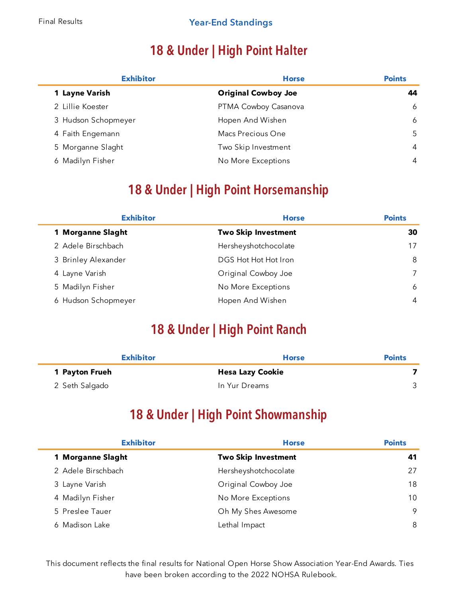# **18 & Under | High Point Halter**

| <b>Exhibitor</b>    | <b>Horse</b>               | <b>Points</b> |
|---------------------|----------------------------|---------------|
| 1 Layne Varish      | <b>Original Cowboy Joe</b> | 44            |
| 2 Lillie Koester    | PTMA Cowboy Casanova       | 6             |
| 3 Hudson Schopmeyer | Hopen And Wishen           | 6             |
| 4 Faith Engemann    | Macs Precious One          | 5             |
| 5 Morganne Slaght   | Two Skip Investment        | 4             |
| Madilyn Fisher<br>6 | No More Exceptions         | 4             |

#### **18 & Under | High Point Horsemanship**

| <b>Exhibitor</b>    | <b>Horse</b>               | <b>Points</b> |
|---------------------|----------------------------|---------------|
| 1 Morganne Slaght   | <b>Two Skip Investment</b> | 30            |
| 2 Adele Birschbach  | Hersheyshotchocolate       | 17            |
| 3 Brinley Alexander | DGS Hot Hot Hot Iron       | 8             |
| 4 Layne Varish      | Original Cowboy Joe        | 7             |
| 5 Madilyn Fisher    | No More Exceptions         | 6             |
| 6 Hudson Schopmeyer | Hopen And Wishen           | 4             |

#### **18 & Under | High Point Ranch**

| <b>Exhibitor</b> | <b>Horse</b>            | <b>Points</b> |
|------------------|-------------------------|---------------|
| 1 Payton Frueh   | <b>Hesa Lazy Cookie</b> |               |
| 2 Seth Salgado   | In Yur Dreams           |               |

#### **18 & Under | High Point Showmanship**

| <b>Exhibitor</b>   | <b>Horse</b>               | <b>Points</b> |
|--------------------|----------------------------|---------------|
| 1 Morganne Slaght  | <b>Two Skip Investment</b> | 41            |
| 2 Adele Birschbach | Hersheyshotchocolate       | 27            |
| 3 Layne Varish     | Original Cowboy Joe        | 18            |
| 4 Madilyn Fisher   | No More Exceptions         | 10            |
| 5 Preslee Tauer    | Oh My Shes Awesome         | 9             |
| 6 Madison Lake     | Lethal Impact              | 8             |

This document reflects the final results for National Open Horse Show Association Year-End Awards. Ties have been broken according to the 2022 NOHSA Rulebook.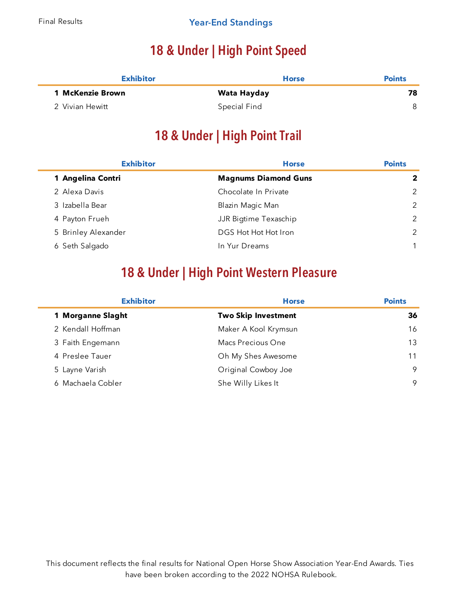# **18 & Under | High Point Speed**

| <b>Exhibitor</b> | <b>Horse</b> | <b>Points</b> |
|------------------|--------------|---------------|
| 1 McKenzie Brown | Wata Hayday  | 78            |
| 2 Vivian Hewitt  | Special Find |               |

## **18 & Under | High Point Trail**

| <b>Horse</b>                | <b>Points</b> |
|-----------------------------|---------------|
| <b>Magnums Diamond Guns</b> | $\mathbf{2}$  |
| Chocolate In Private        | 2             |
| Blazin Magic Man            | 2             |
| JJR Bigtime Texaschip       | 2             |
| DGS Hot Hot Hot Iron        | $\mathcal{P}$ |
| In Yur Dreams               |               |
|                             |               |

## **18 & Under | High Point Western Pleasure**

| <b>Exhibitor</b>  | <b>Horse</b>               | <b>Points</b> |
|-------------------|----------------------------|---------------|
| 1 Morganne Slaght | <b>Two Skip Investment</b> | 36            |
| 2 Kendall Hoffman | Maker A Kool Krymsun       | 16            |
| 3 Faith Engemann  | Macs Precious One          | 13            |
| 4 Preslee Tauer   | Oh My Shes Awesome         | 11            |
| 5 Layne Varish    | Original Cowboy Joe        | 9             |
| 6 Machaela Cobler | She Willy Likes It         | 9             |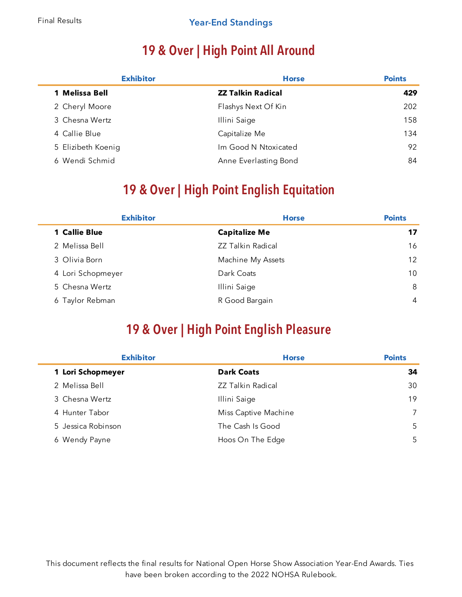Ē

÷

# **19 & Over | High Point All Around**

| <b>Exhibitor</b>   | <b>Horse</b>             | <b>Points</b> |
|--------------------|--------------------------|---------------|
| 1 Melissa Bell     | <b>ZZ Talkin Radical</b> | 429           |
| 2 Cheryl Moore     | Flashys Next Of Kin      | 202           |
| 3 Chesna Wertz     | Illini Saige             | 158           |
| 4 Callie Blue      | Capitalize Me            | 134           |
| 5 Elizibeth Koenig | Im Good N Ntoxicated     | 92            |
| 6 Wendi Schmid     | Anne Everlasting Bond    | 84            |

## **19 & Over | High Point English Equitation**

| <b>Exhibitor</b>     | <b>Horse</b>             | <b>Points</b>     |
|----------------------|--------------------------|-------------------|
| <b>1 Callie Blue</b> | <b>Capitalize Me</b>     | 17                |
| 2 Melissa Bell       | <b>ZZ Talkin Radical</b> | 16                |
| 3 Olivia Born        | Machine My Assets        | $12 \overline{ }$ |
| 4 Lori Schopmeyer    | Dark Coats               | 10                |
| 5 Chesna Wertz       | Illini Saige             | 8                 |
| 6 Taylor Rebman      | R Good Bargain           | 4                 |

#### **19 & Over | High Point English Pleasure**

| <b>Exhibitor</b>   | <b>Horse</b>             | <b>Points</b> |
|--------------------|--------------------------|---------------|
| 1 Lori Schopmeyer  | <b>Dark Coats</b>        | 34            |
| 2 Melissa Bell     | <b>ZZ Talkin Radical</b> | 30            |
| 3 Chesna Wertz     | Illini Saige             | 19            |
| 4 Hunter Tabor     | Miss Captive Machine     |               |
| 5 Jessica Robinson | The Cash Is Good         | 5             |
| 6 Wendy Payne      | Hoos On The Edge         | 5.            |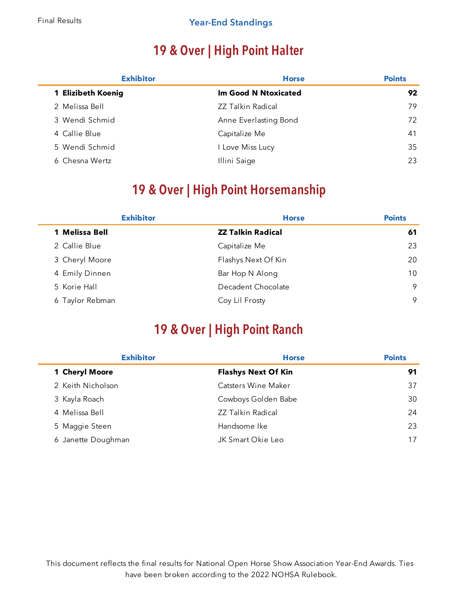Ē.

÷

#### Final Results **Year-End Standings**

# **19 & Over | High Point Halter**

| <b>Exhibitor</b>   | <b>Horse</b>             | <b>Points</b> |
|--------------------|--------------------------|---------------|
| 1 Elizibeth Koenig | Im Good N Ntoxicated     | 92            |
| 2 Melissa Bell     | <b>ZZ Talkin Radical</b> | 79            |
| 3 Wendi Schmid     | Anne Everlasting Bond    | 72            |
| 4 Callie Blue      | Capitalize Me            | 41            |
| 5 Wendi Schmid     | I Love Miss Lucy         | 35            |
| 6 Chesna Wertz     | Illini Saige             | 23            |

## **19 & Over | High Point Horsemanship**

|                 | <b>Exhibitor</b>         | <b>Horse</b> | <b>Points</b> |
|-----------------|--------------------------|--------------|---------------|
| 1 Melissa Bell  | <b>ZZ Talkin Radical</b> |              | 61            |
| 2 Callie Blue   | Capitalize Me            |              | 23            |
| 3 Cheryl Moore  | Flashys Next Of Kin      |              | 20            |
| 4 Emily Dinnen  | Bar Hop N Along          |              | 10            |
| 5 Korie Hall    | Decadent Chocolate       |              | 9             |
| 6 Taylor Rebman | Coy Lil Frosty           |              | 9             |

#### **19 & Over | High Point Ranch**

| <b>Exhibitor</b>   | <b>Horse</b>               | <b>Points</b> |  |
|--------------------|----------------------------|---------------|--|
| 1 Cheryl Moore     | <b>Flashys Next Of Kin</b> | 91            |  |
| 2 Keith Nicholson  | Catsters Wine Maker        | 37            |  |
| 3 Kayla Roach      | Cowboys Golden Babe        | 30            |  |
| 4 Melissa Bell     | <b>ZZ Talkin Radical</b>   | 24            |  |
| 5 Maggie Steen     | Handsome Ike               | 23            |  |
| 6 Janette Doughman | JK Smart Okie Leo          | 17            |  |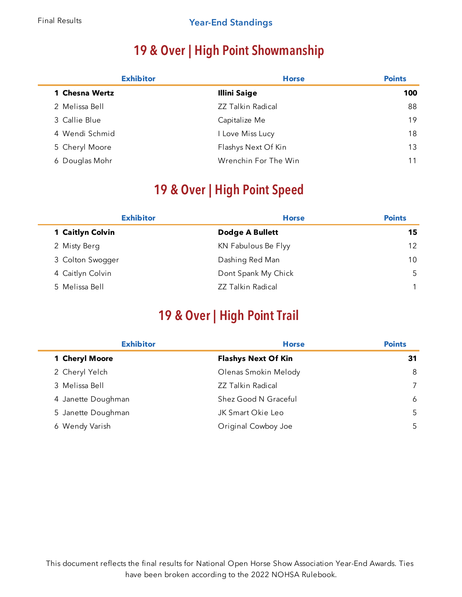# **19 & Over | High Point Showmanship**

| <b>Exhibitor</b> | <b>Horse</b>             | <b>Points</b> |
|------------------|--------------------------|---------------|
| 1 Chesna Wertz   | <b>Illini Saige</b>      | 100           |
| 2 Melissa Bell   | <b>ZZ Talkin Radical</b> | 88            |
| 3 Callie Blue    | Capitalize Me            | 19            |
| 4 Wendi Schmid   | I Love Miss Lucy         | 18            |
| 5 Cheryl Moore   | Flashys Next Of Kin      | 13            |
| 6 Douglas Mohr   | Wrenchin For The Win     | 11            |

# **19 & Over | High Point Speed**

| <b>Exhibitor</b> | <b>Horse</b>             | <b>Points</b>   |
|------------------|--------------------------|-----------------|
| 1 Caitlyn Colvin | Dodge A Bullett          | 15              |
| 2 Misty Berg     | KN Fabulous Be Flyy      | 12 <sup>°</sup> |
| 3 Colton Swogger | Dashing Red Man          | 10              |
| 4 Caitlyn Colvin | Dont Spank My Chick      | 5               |
| 5 Melissa Bell   | <b>ZZ Talkin Radical</b> |                 |

#### **19 & Over | High Point Trail**

| <b>Exhibitor</b>   | <b>Horse</b>               | <b>Points</b> |
|--------------------|----------------------------|---------------|
| 1 Cheryl Moore     | <b>Flashys Next Of Kin</b> | 31            |
| 2 Cheryl Yelch     | Olenas Smokin Melody       | 8             |
| 3 Melissa Bell     | <b>ZZ Talkin Radical</b>   | 7             |
| 4 Janette Doughman | Shez Good N Graceful       | 6             |
| 5 Janette Doughman | JK Smart Okie Leo          | 5             |
| Wendy Varish<br>6  | Original Cowboy Joe        | 5             |